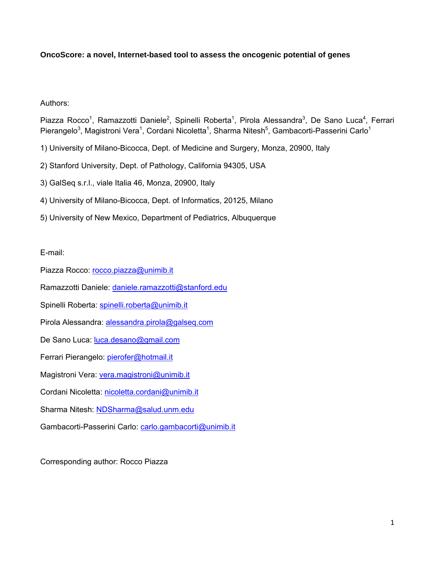# **OncoScore: a novel, Internet-based tool to assess the oncogenic potential of genes**

Authors:

Piazza Rocco<sup>1</sup>, Ramazzotti Daniele<sup>2</sup>, Spinelli Roberta<sup>1</sup>, Pirola Alessandra<sup>3</sup>, De Sano Luca<sup>4</sup>, Ferrari Pierangelo<sup>3</sup>, Magistroni Vera<sup>1</sup>, Cordani Nicoletta<sup>1</sup>, Sharma Nitesh<sup>5</sup>, Gambacorti-Passerini Carlo<sup>1</sup>

- 1) University of Milano-Bicocca, Dept. of Medicine and Surgery, Monza, 20900, Italy
- 2) Stanford University, Dept. of Pathology, California 94305, USA
- 3) GalSeq s.r.l., viale Italia 46, Monza, 20900, Italy
- 4) University of Milano-Bicocca, Dept. of Informatics, 20125, Milano
- 5) University of New Mexico, Department of Pediatrics, Albuquerque

E-mail:

Piazza Rocco: rocco.piazza@unimib.it

Ramazzotti Daniele: daniele.ramazzotti@stanford.edu

Spinelli Roberta: spinelli.roberta@unimib.it

Pirola Alessandra: alessandra.pirola@galseq.com

De Sano Luca: luca.desano@gmail.com

Ferrari Pierangelo: pierofer@hotmail.it

Magistroni Vera: vera.magistroni@unimib.it

Cordani Nicoletta: nicoletta.cordani@unimib.it

Sharma Nitesh: NDSharma@salud.unm.edu

Gambacorti-Passerini Carlo: carlo.gambacorti@unimib.it

Corresponding author: Rocco Piazza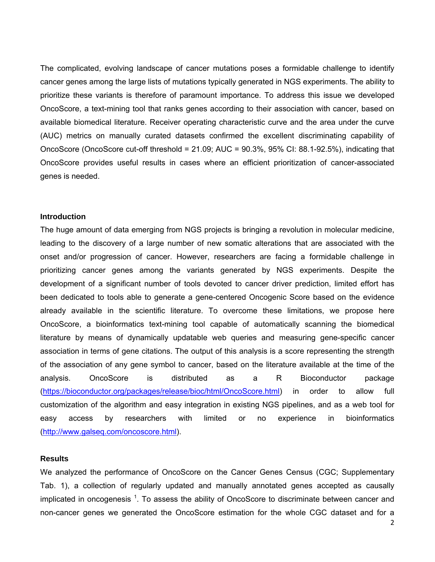The complicated, evolving landscape of cancer mutations poses a formidable challenge to identify cancer genes among the large lists of mutations typically generated in NGS experiments. The ability to prioritize these variants is therefore of paramount importance. To address this issue we developed OncoScore, a text-mining tool that ranks genes according to their association with cancer, based on available biomedical literature. Receiver operating characteristic curve and the area under the curve (AUC) metrics on manually curated datasets confirmed the excellent discriminating capability of OncoScore (OncoScore cut-off threshold = 21.09; AUC = 90.3%, 95% CI: 88.1-92.5%), indicating that OncoScore provides useful results in cases where an efficient prioritization of cancer-associated genes is needed.

### **Introduction**

The huge amount of data emerging from NGS projects is bringing a revolution in molecular medicine, leading to the discovery of a large number of new somatic alterations that are associated with the onset and/or progression of cancer. However, researchers are facing a formidable challenge in prioritizing cancer genes among the variants generated by NGS experiments. Despite the development of a significant number of tools devoted to cancer driver prediction, limited effort has been dedicated to tools able to generate a gene-centered Oncogenic Score based on the evidence already available in the scientific literature. To overcome these limitations, we propose here OncoScore, a bioinformatics text-mining tool capable of automatically scanning the biomedical literature by means of dynamically updatable web queries and measuring gene-specific cancer association in terms of gene citations. The output of this analysis is a score representing the strength of the association of any gene symbol to cancer, based on the literature available at the time of the analysis. OncoScore is distributed as a R Bioconductor package (https://bioconductor.org/packages/release/bioc/html/OncoScore.html) in order to allow full customization of the algorithm and easy integration in existing NGS pipelines, and as a web tool for easy access by researchers with limited or no experience in bioinformatics (http://www.galseq.com/oncoscore.html).

#### **Results**

We analyzed the performance of OncoScore on the Cancer Genes Census (CGC; Supplementary Tab. 1), a collection of regularly updated and manually annotated genes accepted as causally implicated in oncogenesis  $^1$ . To assess the ability of OncoScore to discriminate between cancer and non-cancer genes we generated the OncoScore estimation for the whole CGC dataset and for a

2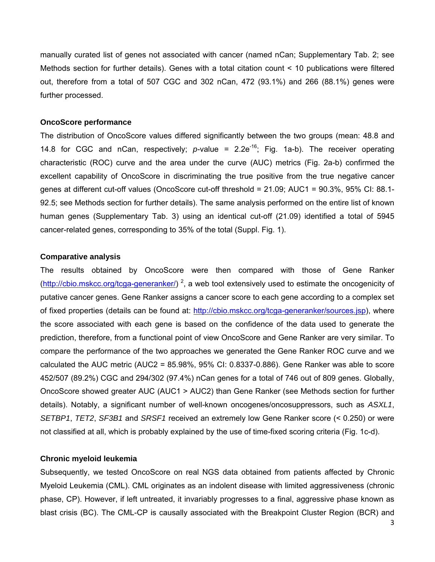manually curated list of genes not associated with cancer (named nCan; Supplementary Tab. 2; see Methods section for further details). Genes with a total citation count < 10 publications were filtered out, therefore from a total of 507 CGC and 302 nCan, 472 (93.1%) and 266 (88.1%) genes were further processed.

#### **OncoScore performance**

The distribution of OncoScore values differed significantly between the two groups (mean: 48.8 and 14.8 for CGC and nCan, respectively;  $p$ -value =  $2.2e^{-16}$ ; Fig. 1a-b). The receiver operating characteristic (ROC) curve and the area under the curve (AUC) metrics (Fig. 2a-b) confirmed the excellent capability of OncoScore in discriminating the true positive from the true negative cancer genes at different cut-off values (OncoScore cut-off threshold = 21.09; AUC1 = 90.3%, 95% CI: 88.1- 92.5; see Methods section for further details). The same analysis performed on the entire list of known human genes (Supplementary Tab. 3) using an identical cut-off (21.09) identified a total of 5945 cancer-related genes, corresponding to 35% of the total (Suppl. Fig. 1).

### **Comparative analysis**

The results obtained by OncoScore were then compared with those of Gene Ranker (http://cbio.mskcc.org/tcga-generanker/)<sup>2</sup>, a web tool extensively used to estimate the oncogenicity of putative cancer genes. Gene Ranker assigns a cancer score to each gene according to a complex set of fixed properties (details can be found at: http://cbio.mskcc.org/tcga-generanker/sources.jsp), where the score associated with each gene is based on the confidence of the data used to generate the prediction, therefore, from a functional point of view OncoScore and Gene Ranker are very similar. To compare the performance of the two approaches we generated the Gene Ranker ROC curve and we calculated the AUC metric (AUC2 = 85.98%, 95% CI: 0.8337-0.886). Gene Ranker was able to score 452/507 (89.2%) CGC and 294/302 (97.4%) nCan genes for a total of 746 out of 809 genes. Globally, OncoScore showed greater AUC (AUC1 > AUC2) than Gene Ranker (see Methods section for further details). Notably, a significant number of well-known oncogenes/oncosuppressors, such as *ASXL1*, *SETBP1*, *TET2*, *SF3B1* and *SRSF1* received an extremely low Gene Ranker score (< 0.250) or were not classified at all, which is probably explained by the use of time-fixed scoring criteria (Fig. 1c-d).

#### **Chronic myeloid leukemia**

Subsequently, we tested OncoScore on real NGS data obtained from patients affected by Chronic Myeloid Leukemia (CML). CML originates as an indolent disease with limited aggressiveness (chronic phase, CP). However, if left untreated, it invariably progresses to a final, aggressive phase known as blast crisis (BC). The CML-CP is causally associated with the Breakpoint Cluster Region (BCR) and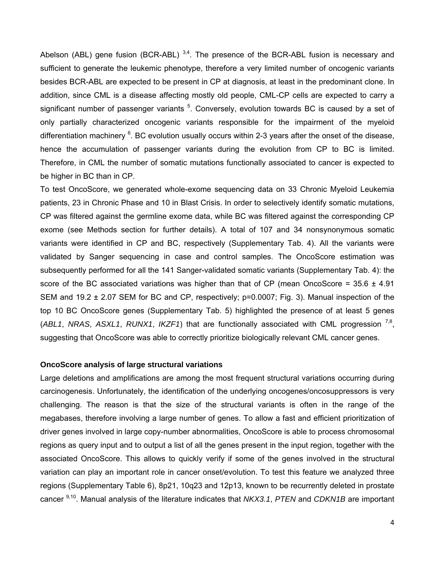Abelson (ABL) gene fusion (BCR-ABL)  $^{3,4}$ . The presence of the BCR-ABL fusion is necessary and sufficient to generate the leukemic phenotype, therefore a very limited number of oncogenic variants besides BCR-ABL are expected to be present in CP at diagnosis, at least in the predominant clone. In addition, since CML is a disease affecting mostly old people, CML-CP cells are expected to carry a significant number of passenger variants <sup>5</sup>. Conversely, evolution towards BC is caused by a set of only partially characterized oncogenic variants responsible for the impairment of the myeloid differentiation machinery <sup>6</sup>. BC evolution usually occurs within 2-3 years after the onset of the disease, hence the accumulation of passenger variants during the evolution from CP to BC is limited. Therefore, in CML the number of somatic mutations functionally associated to cancer is expected to be higher in BC than in CP.

To test OncoScore, we generated whole-exome sequencing data on 33 Chronic Myeloid Leukemia patients, 23 in Chronic Phase and 10 in Blast Crisis. In order to selectively identify somatic mutations, CP was filtered against the germline exome data, while BC was filtered against the corresponding CP exome (see Methods section for further details). A total of 107 and 34 nonsynonymous somatic variants were identified in CP and BC, respectively (Supplementary Tab. 4). All the variants were validated by Sanger sequencing in case and control samples. The OncoScore estimation was subsequently performed for all the 141 Sanger-validated somatic variants (Supplementary Tab. 4): the score of the BC associated variations was higher than that of CP (mean OncoScore =  $35.6 \pm 4.91$ SEM and 19.2 ± 2.07 SEM for BC and CP, respectively; p=0.0007; Fig. 3). Manual inspection of the top 10 BC OncoScore genes (Supplementary Tab. 5) highlighted the presence of at least 5 genes (*ABL1*, *NRAS*, *ASXL1*, *RUNX1*, *IKZF1*) that are functionally associated with CML progression 7,8, suggesting that OncoScore was able to correctly prioritize biologically relevant CML cancer genes.

### **OncoScore analysis of large structural variations**

Large deletions and amplifications are among the most frequent structural variations occurring during carcinogenesis. Unfortunately, the identification of the underlying oncogenes/oncosuppressors is very challenging. The reason is that the size of the structural variants is often in the range of the megabases, therefore involving a large number of genes. To allow a fast and efficient prioritization of driver genes involved in large copy-number abnormalities, OncoScore is able to process chromosomal regions as query input and to output a list of all the genes present in the input region, together with the associated OncoScore. This allows to quickly verify if some of the genes involved in the structural variation can play an important role in cancer onset/evolution. To test this feature we analyzed three regions (Supplementary Table 6), 8p21, 10q23 and 12p13, known to be recurrently deleted in prostate cancer 9,10. Manual analysis of the literature indicates that *NKX3.1*, *PTEN* and *CDKN1B* are important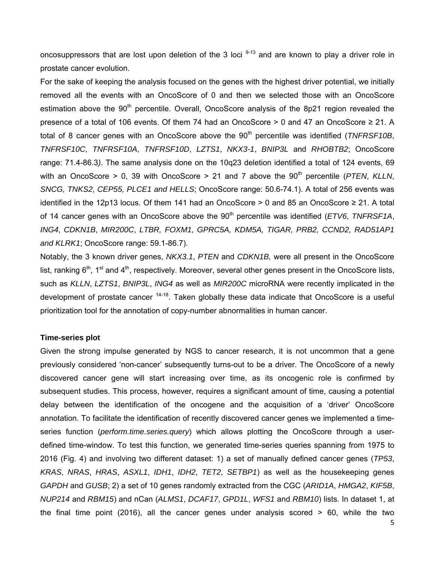oncosuppressors that are lost upon deletion of the 3 loci  $9-13$  and are known to play a driver role in prostate cancer evolution.

For the sake of keeping the analysis focused on the genes with the highest driver potential, we initially removed all the events with an OncoScore of 0 and then we selected those with an OncoScore estimation above the  $90<sup>th</sup>$  percentile. Overall, OncoScore analysis of the 8p21 region revealed the presence of a total of 106 events. Of them 74 had an OncoScore > 0 and 47 an OncoScore ≥ 21. A total of 8 cancer genes with an OncoScore above the 90<sup>th</sup> percentile was identified (*TNFRSF10B*, *TNFRSF10C*, *TNFRSF10A*, *TNFRSF10D*, *LZTS1*, *NKX3-1*, *BNIP3L* and *RHOBTB2*; OncoScore range: 71.4-86.3*)*. The same analysis done on the 10q23 deletion identified a total of 124 events, 69 with an OncoScore > 0, 39 with OncoScore > 21 and 7 above the 90<sup>th</sup> percentile (*PTEN, KLLN, SNCG, TNKS2, CEP55, PLCE1 and HELLS*; OncoScore range: 50.6-74.1). A total of 256 events was identified in the 12p13 locus. Of them 141 had an OncoScore > 0 and 85 an OncoScore ≥ 21. A total of 14 cancer genes with an OncoScore above the 90<sup>th</sup> percentile was identified (*ETV6*, *TNFRSF1A*, *ING4*, *CDKN1B*, *MIR200C*, *LTBR, FOXM1, GPRC5A, KDM5A, TIGAR, PRB2, CCND2, RAD51AP1 and KLRK1*; OncoScore range: 59.1-86.7).

Notably, the 3 known driver genes, *NKX3.1*, *PTEN* and *CDKN1B,* were all present in the OncoScore list, ranking  $6<sup>th</sup>$ , 1<sup>st</sup> and 4<sup>th</sup>, respectively. Moreover, several other genes present in the OncoScore lists, such as *KLLN*, *LZTS1*, *BNIP3L*, *ING4* as well as *MIR200C* microRNA were recently implicated in the development of prostate cancer  $14-18$ . Taken globally these data indicate that OncoScore is a useful prioritization tool for the annotation of copy-number abnormalities in human cancer.

### **Time-series plot**

Given the strong impulse generated by NGS to cancer research, it is not uncommon that a gene previously considered 'non-cancer' subsequently turns-out to be a driver. The OncoScore of a newly discovered cancer gene will start increasing over time, as its oncogenic role is confirmed by subsequent studies. This process, however, requires a significant amount of time, causing a potential delay between the identification of the oncogene and the acquisition of a 'driver' OncoScore annotation. To facilitate the identification of recently discovered cancer genes we implemented a timeseries function (*perform.time.series.query*) which allows plotting the OncoScore through a userdefined time-window. To test this function, we generated time-series queries spanning from 1975 to 2016 (Fig. 4) and involving two different dataset: 1) a set of manually defined cancer genes (*TP53*, *KRAS*, *NRAS*, *HRAS*, *ASXL1*, *IDH1*, *IDH2*, *TET2*, *SETBP1*) as well as the housekeeping genes *GAPDH* and *GUSB*; 2) a set of 10 genes randomly extracted from the CGC (*ARID1A*, *HMGA2*, *KIF5B*, *NUP214* and *RBM15*) and nCan (*ALMS1*, *DCAF17*, *GPD1L*, *WFS1* and *RBM10*) lists. In dataset 1, at the final time point (2016), all the cancer genes under analysis scored  $> 60$ , while the two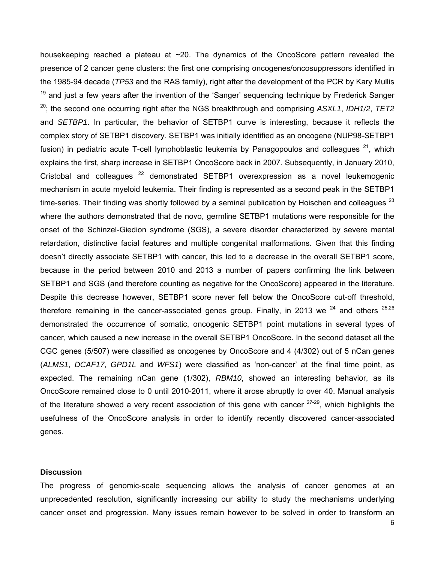housekeeping reached a plateau at ~20. The dynamics of the OncoScore pattern revealed the presence of 2 cancer gene clusters: the first one comprising oncogenes/oncosuppressors identified in the 1985-94 decade (*TP53* and the RAS family), right after the development of the PCR by Kary Mullis  $19$  and just a few years after the invention of the 'Sanger' sequencing technique by Frederick Sanger 20; the second one occurring right after the NGS breakthrough and comprising *ASXL1*, *IDH1/2*, *TET2* and *SETBP1*. In particular, the behavior of SETBP1 curve is interesting, because it reflects the complex story of SETBP1 discovery. SETBP1 was initially identified as an oncogene (NUP98-SETBP1 fusion) in pediatric acute T-cell lymphoblastic leukemia by Panagopoulos and colleagues  $21$ , which explains the first, sharp increase in SETBP1 OncoScore back in 2007. Subsequently, in January 2010, Cristobal and colleagues  $22$  demonstrated SETBP1 overexpression as a novel leukemogenic mechanism in acute myeloid leukemia. Their finding is represented as a second peak in the SETBP1 time-series. Their finding was shortly followed by a seminal publication by Hoischen and colleagues  $^{23}$ where the authors demonstrated that de novo, germline SETBP1 mutations were responsible for the onset of the Schinzel-Giedion syndrome (SGS), a severe disorder characterized by severe mental retardation, distinctive facial features and multiple congenital malformations. Given that this finding doesn't directly associate SETBP1 with cancer, this led to a decrease in the overall SETBP1 score, because in the period between 2010 and 2013 a number of papers confirming the link between SETBP1 and SGS (and therefore counting as negative for the OncoScore) appeared in the literature. Despite this decrease however, SETBP1 score never fell below the OncoScore cut-off threshold, therefore remaining in the cancer-associated genes group. Finally, in 2013 we  $24$  and others  $25,26$ demonstrated the occurrence of somatic, oncogenic SETBP1 point mutations in several types of cancer, which caused a new increase in the overall SETBP1 OncoScore. In the second dataset all the CGC genes (5/507) were classified as oncogenes by OncoScore and 4 (4/302) out of 5 nCan genes (*ALMS1*, *DCAF17*, *GPD1L* and *WFS1*) were classified as 'non-cancer' at the final time point, as expected. The remaining nCan gene (1/302), *RBM10*, showed an interesting behavior, as its OncoScore remained close to 0 until 2010-2011, where it arose abruptly to over 40. Manual analysis of the literature showed a very recent association of this gene with cancer  $27-29$ , which highlights the usefulness of the OncoScore analysis in order to identify recently discovered cancer-associated genes.

#### **Discussion**

The progress of genomic-scale sequencing allows the analysis of cancer genomes at an unprecedented resolution, significantly increasing our ability to study the mechanisms underlying cancer onset and progression. Many issues remain however to be solved in order to transform an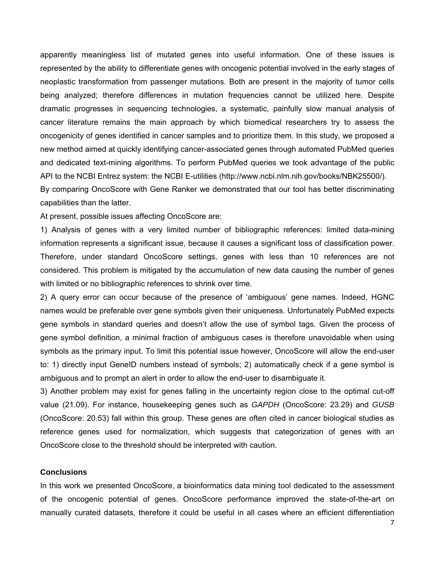apparently meaningless list of mutated genes into useful information. One of these issues is represented by the ability to differentiate genes with oncogenic potential involved in the early stages of neoplastic transformation from passenger mutations. Both are present in the majority of tumor cells being analyzed; therefore differences in mutation frequencies cannot be utilized here. Despite dramatic progresses in sequencing technologies, a systematic, painfully slow manual analysis of cancer literature remains the main approach by which biomedical researchers try to assess the oncogenicity of genes identified in cancer samples and to prioritize them. In this study, we proposed a new method aimed at quickly identifying cancer-associated genes through automated PubMed queries and dedicated text-mining algorithms. To perform PubMed queries we took advantage of the public API to the NCBI Entrez system: the NCBI E-utilities (http://www.ncbi.nlm.nih.gov/books/NBK25500/). By comparing OncoScore with Gene Ranker we demonstrated that our tool has better discriminating capabilities than the latter.

At present, possible issues affecting OncoScore are:

1) Analysis of genes with a very limited number of bibliographic references: limited data-mining information represents a significant issue, because it causes a significant loss of classification power. Therefore, under standard OncoScore settings, genes with less than 10 references are not considered. This problem is mitigated by the accumulation of new data causing the number of genes with limited or no bibliographic references to shrink over time.

2) A query error can occur because of the presence of 'ambiguous' gene names. Indeed, HGNC names would be preferable over gene symbols given their uniqueness. Unfortunately PubMed expects gene symbols in standard queries and doesn't allow the use of symbol tags. Given the process of gene symbol definition, a minimal fraction of ambiguous cases is therefore unavoidable when using symbols as the primary input. To limit this potential issue however, OncoScore will allow the end-user to: 1) directly input GeneID numbers instead of symbols; 2) automatically check if a gene symbol is ambiguous and to prompt an alert in order to allow the end-user to disambiguate it.

3) Another problem may exist for genes falling in the uncertainty region close to the optimal cut-off value (21.09). For instance, housekeeping genes such as *GAPDH* (OncoScore: 23.29) and *GUSB* (OncoScore: 20.53) fall within this group. These genes are often cited in cancer biological studies as reference genes used for normalization, which suggests that categorization of genes with an OncoScore close to the threshold should be interpreted with caution.

### **Conclusions**

In this work we presented OncoScore, a bioinformatics data mining tool dedicated to the assessment of the oncogenic potential of genes. OncoScore performance improved the state-of-the-art on manually curated datasets, therefore it could be useful in all cases where an efficient differentiation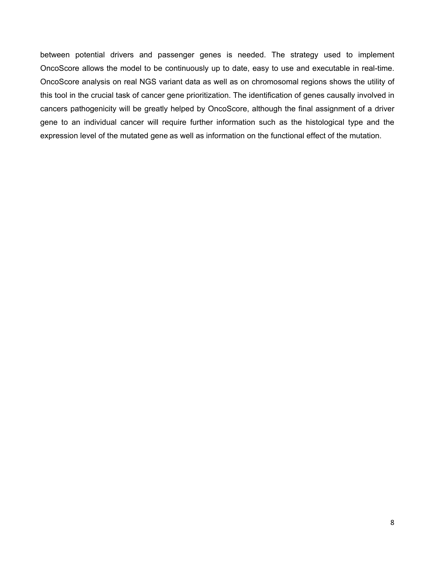between potential drivers and passenger genes is needed. The strategy used to implement OncoScore allows the model to be continuously up to date, easy to use and executable in real-time. OncoScore analysis on real NGS variant data as well as on chromosomal regions shows the utility of this tool in the crucial task of cancer gene prioritization. The identification of genes causally involved in cancers pathogenicity will be greatly helped by OncoScore, although the final assignment of a driver gene to an individual cancer will require further information such as the histological type and the expression level of the mutated gene as well as information on the functional effect of the mutation.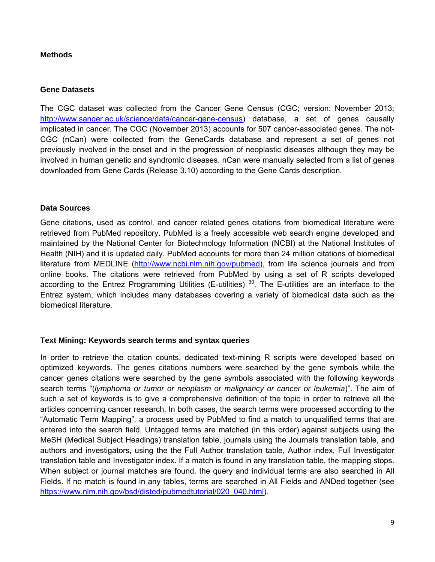# **Methods**

## **Gene Datasets**

The CGC dataset was collected from the Cancer Gene Census (CGC; version: November 2013; http://www.sanger.ac.uk/science/data/cancer-gene-census) database, a set of genes causally implicated in cancer. The CGC (November 2013) accounts for 507 cancer-associated genes. The not-CGC (nCan) were collected from the GeneCards database and represent a set of genes not previously involved in the onset and in the progression of neoplastic diseases although they may be involved in human genetic and syndromic diseases. nCan were manually selected from a list of genes downloaded from Gene Cards (Release 3.10) according to the Gene Cards description.

## **Data Sources**

Gene citations, used as control, and cancer related genes citations from biomedical literature were retrieved from PubMed repository. PubMed is a freely accessible web search engine developed and maintained by the National Center for Biotechnology Information (NCBI) at the National Institutes of Health (NIH) and it is updated daily. PubMed accounts for more than 24 million citations of biomedical literature from MEDLINE (http://www.ncbi.nlm.nih.gov/pubmed), from life science journals and from online books. The citations were retrieved from PubMed by using a set of R scripts developed according to the Entrez Programming Utilities (E-utilities)<sup>30</sup>. The E-utilities are an interface to the Entrez system, which includes many databases covering a variety of biomedical data such as the biomedical literature.

# **Text Mining: Keywords search terms and syntax queries**

In order to retrieve the citation counts, dedicated text-mining R scripts were developed based on optimized keywords. The genes citations numbers were searched by the gene symbols while the cancer genes citations were searched by the gene symbols associated with the following keywords search terms "(*lymphoma or tumor or neoplasm or malignancy or cancer or leukemia*)". The aim of such a set of keywords is to give a comprehensive definition of the topic in order to retrieve all the articles concerning cancer research. In both cases, the search terms were processed according to the "Automatic Term Mapping", a process used by PubMed to find a match to unqualified terms that are entered into the search field. Untagged terms are matched (in this order) against subjects using the MeSH (Medical Subject Headings) translation table, journals using the Journals translation table, and authors and investigators, using the the Full Author translation table, Author index, Full Investigator translation table and Investigator index. If a match is found in any translation table, the mapping stops. When subject or journal matches are found, the query and individual terms are also searched in All Fields. If no match is found in any tables, terms are searched in All Fields and ANDed together (see https://www.nlm.nih.gov/bsd/disted/pubmedtutorial/020\_040.html).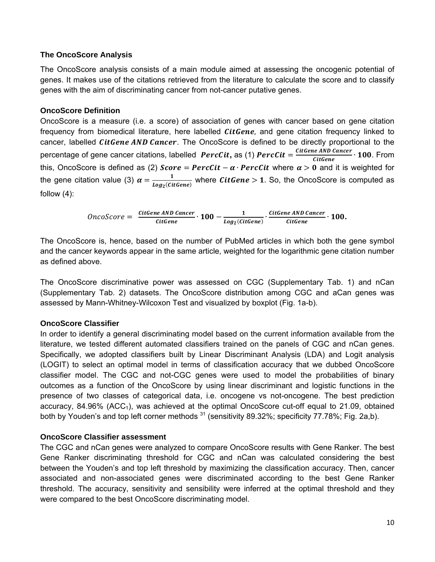# **The OncoScore Analysis**

The OncoScore analysis consists of a main module aimed at assessing the oncogenic potential of genes. It makes use of the citations retrieved from the literature to calculate the score and to classify genes with the aim of discriminating cancer from not-cancer putative genes.

# **OncoScore Definition**

OncoScore is a measure (i.e. a score) of association of genes with cancer based on gene citation frequency from biomedical literature, here labelled  $CitGene$ , and gene citation frequency linked to cancer, labelled CitGene AND Cancer. The OncoScore is defined to be directly proportional to the percentage of gene cancer citations, labelled *PercCit*, as (1) *PercCit =*  $\frac{CitGene \; AND \; Cancer}{CitGene} \cdot 100$ *.* From this, OncoScore is defined as (2)  $Score = PercCit - \alpha \cdot PercCit$  where  $\alpha > 0$  and it is weighted for the gene citation value (3)  $\alpha = \frac{1}{\sqrt{2\pi}}$  $\frac{1}{Log_2(CitGene)}$  where *CitGene* > 1. So, the OncoScore is computed as follow (4):

> $OncoScore = \frac{CitGene \, AND \, Cancer}{CitGene} \cdot 100 - \frac{1}{Log_2(CitGene)} \cdot$ CitGene AND Cancer <u>CitGene</u><br>CitGene

The OncoScore is, hence, based on the number of PubMed articles in which both the gene symbol and the cancer keywords appear in the same article, weighted for the logarithmic gene citation number as defined above.

The OncoScore discriminative power was assessed on CGC (Supplementary Tab. 1) and nCan (Supplementary Tab. 2) datasets. The OncoScore distribution among CGC and aCan genes was assessed by Mann-Whitney-Wilcoxon Test and visualized by boxplot (Fig. 1a-b).

# **OncoScore Classifier**

In order to identify a general discriminating model based on the current information available from the literature, we tested different automated classifiers trained on the panels of CGC and nCan genes. Specifically, we adopted classifiers built by Linear Discriminant Analysis (LDA) and Logit analysis (LOGIT) to select an optimal model in terms of classification accuracy that we dubbed OncoScore classifier model. The CGC and not-CGC genes were used to model the probabilities of binary outcomes as a function of the OncoScore by using linear discriminant and logistic functions in the presence of two classes of categorical data, i.e. oncogene vs not-oncogene. The best prediction accuracy, 84.96% (ACC<sub>1</sub>), was achieved at the optimal OncoScore cut-off equal to 21.09, obtained both by Youden's and top left corner methods <sup>31</sup> (sensitivity 89.32%; specificity 77.78%; Fig. 2a,b).

# **OncoScore Classifier assessment**

The CGC and nCan genes were analyzed to compare OncoScore results with Gene Ranker. The best Gene Ranker discriminating threshold for CGC and nCan was calculated considering the best between the Youden's and top left threshold by maximizing the classification accuracy. Then, cancer associated and non-associated genes were discriminated according to the best Gene Ranker threshold. The accuracy, sensitivity and sensibility were inferred at the optimal threshold and they were compared to the best OncoScore discriminating model.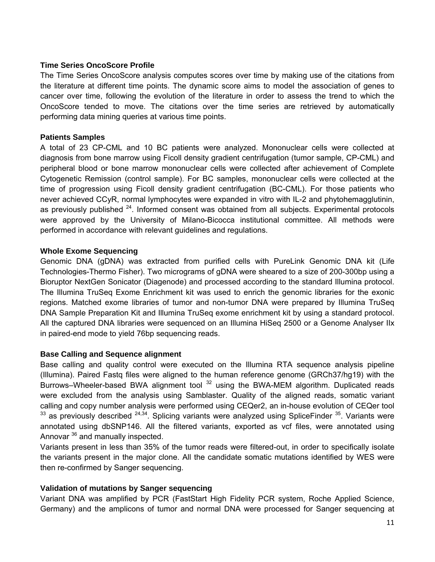# **Time Series OncoScore Profile**

The Time Series OncoScore analysis computes scores over time by making use of the citations from the literature at different time points. The dynamic score aims to model the association of genes to cancer over time, following the evolution of the literature in order to assess the trend to which the OncoScore tended to move. The citations over the time series are retrieved by automatically performing data mining queries at various time points.

## **Patients Samples**

A total of 23 CP-CML and 10 BC patients were analyzed. Mononuclear cells were collected at diagnosis from bone marrow using Ficoll density gradient centrifugation (tumor sample, CP-CML) and peripheral blood or bone marrow mononuclear cells were collected after achievement of Complete Cytogenetic Remission (control sample). For BC samples, mononuclear cells were collected at the time of progression using Ficoll density gradient centrifugation (BC-CML). For those patients who never achieved CCyR, normal lymphocytes were expanded in vitro with IL-2 and phytohemagglutinin, as previously published  $24$ . Informed consent was obtained from all subjects. Experimental protocols were approved by the University of Milano-Bicocca institutional committee. All methods were performed in accordance with relevant guidelines and regulations.

## **Whole Exome Sequencing**

Genomic DNA (gDNA) was extracted from purified cells with PureLink Genomic DNA kit (Life Technologies-Thermo Fisher). Two micrograms of gDNA were sheared to a size of 200-300bp using a Bioruptor NextGen Sonicator (Diagenode) and processed according to the standard Illumina protocol. The Illumina TruSeq Exome Enrichment kit was used to enrich the genomic libraries for the exonic regions. Matched exome libraries of tumor and non-tumor DNA were prepared by Illumina TruSeq DNA Sample Preparation Kit and Illumina TruSeq exome enrichment kit by using a standard protocol. All the captured DNA libraries were sequenced on an Illumina HiSeq 2500 or a Genome Analyser IIx in paired-end mode to yield 76bp sequencing reads.

### **Base Calling and Sequence alignment**

Base calling and quality control were executed on the Illumina RTA sequence analysis pipeline (Illumina). Paired Fastq files were aligned to the human reference genome (GRCh37/hg19) with the Burrows–Wheeler-based BWA alignment tool  $32$  using the BWA-MEM algorithm. Duplicated reads were excluded from the analysis using Samblaster. Quality of the aligned reads, somatic variant calling and copy number analysis were performed using CEQer2, an in-house evolution of CEQer tool  $33$  as previously described  $24,34$ . Splicing variants were analyzed using SpliceFinder  $35$ . Variants were annotated using dbSNP146. All the filtered variants, exported as vcf files, were annotated using Annovar <sup>36</sup> and manually inspected.

Variants present in less than 35% of the tumor reads were filtered-out, in order to specifically isolate the variants present in the major clone. All the candidate somatic mutations identified by WES were then re-confirmed by Sanger sequencing.

# **Validation of mutations by Sanger sequencing**

Variant DNA was amplified by PCR (FastStart High Fidelity PCR system, Roche Applied Science, Germany) and the amplicons of tumor and normal DNA were processed for Sanger sequencing at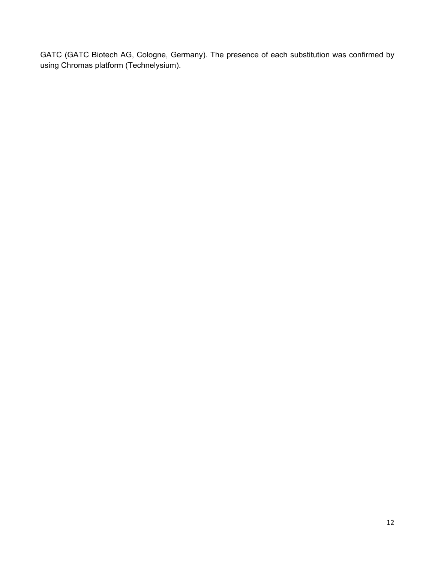GATC (GATC Biotech AG, Cologne, Germany). The presence of each substitution was confirmed by using Chromas platform (Technelysium).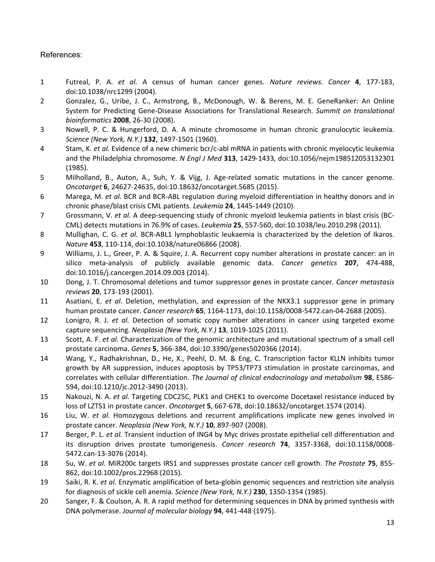# References:

- 1 Futreal, P. A. *et al.* A census of human cancer genes. *Nature reviews. Cancer* **4**, 177-183, doi:10.1038/nrc1299 (2004).
- 2 Gonzalez, G., Uribe, J. C., Armstrong, B., McDonough, W. & Berens, M. E. GeneRanker: An Online System for Predicting Gene-Disease Associations for Translational Research. *Summit on translational bioinformatics* **2008**, 26-30 (2008).
- 3 Nowell, P. C. & Hungerford, D. A. A minute chromosome in human chronic granulocytic leukemia. *Science (New York, N.Y.)* **132**, 1497-1501 (1960).
- 4 Stam, K. *et al.* Evidence of a new chimeric bcr/c-abl mRNA in patients with chronic myelocytic leukemia and the Philadelphia chromosome. *N Engl J Med* **313**, 1429-1433, doi:10.1056/nejm198512053132301 (1985).
- 5 Milholland, B., Auton, A., Suh, Y. & Vijg, J. Age-related somatic mutations in the cancer genome. *Oncotarget* **6**, 24627-24635, doi:10.18632/oncotarget.5685 (2015).
- 6 Marega, M. *et al.* BCR and BCR-ABL regulation during myeloid differentiation in healthy donors and in chronic phase/blast crisis CML patients. *Leukemia* **24**, 1445-1449 (2010).
- 7 Grossmann, V. *et al.* A deep-sequencing study of chronic myeloid leukemia patients in blast crisis (BC-CML) detects mutations in 76.9% of cases. *Leukemia* **25**, 557-560, doi:10.1038/leu.2010.298 (2011).
- 8 Mullighan, C. G. *et al.* BCR-ABL1 lymphoblastic leukaemia is characterized by the deletion of Ikaros. *Nature* **453**, 110-114, doi:10.1038/nature06866 (2008).
- 9 Williams, J. L., Greer, P. A. & Squire, J. A. Recurrent copy number alterations in prostate cancer: an in silico meta-analysis of publicly available genomic data. *Cancer genetics* **207**, 474-488, doi:10.1016/j.cancergen.2014.09.003 (2014).
- 10 Dong, J. T. Chromosomal deletions and tumor suppressor genes in prostate cancer. *Cancer metastasis reviews* **20**, 173-193 (2001).
- 11 Asatiani, E. *et al.* Deletion, methylation, and expression of the NKX3.1 suppressor gene in primary human prostate cancer. *Cancer research* **65**, 1164-1173, doi:10.1158/0008-5472.can-04-2688 (2005).
- 12 Lonigro, R. J. *et al.* Detection of somatic copy number alterations in cancer using targeted exome capture sequencing. *Neoplasia (New York, N.Y.)* **13**, 1019-1025 (2011).
- 13 Scott, A. F. *et al.* Characterization of the genomic architecture and mutational spectrum of a small cell prostate carcinoma. *Genes* **5**, 366-384, doi:10.3390/genes5020366 (2014).
- 14 Wang, Y., Radhakrishnan, D., He, X., Peehl, D. M. & Eng, C. Transcription factor KLLN inhibits tumor growth by AR suppression, induces apoptosis by TP53/TP73 stimulation in prostate carcinomas, and correlates with cellular differentiation. *The Journal of clinical endocrinology and metabolism* **98**, E586- 594, doi:10.1210/jc.2012-3490 (2013).
- 15 Nakouzi, N. A. *et al.* Targeting CDC25C, PLK1 and CHEK1 to overcome Docetaxel resistance induced by loss of LZTS1 in prostate cancer. *Oncotarget* **5**, 667-678, doi:10.18632/oncotarget.1574 (2014).
- 16 Liu, W. *et al.* Homozygous deletions and recurrent amplifications implicate new genes involved in prostate cancer. *Neoplasia (New York, N.Y.)* **10**, 897-907 (2008).
- 17 Berger, P. L. *et al.* Transient induction of ING4 by Myc drives prostate epithelial cell differentiation and its disruption drives prostate tumorigenesis. *Cancer research* **74**, 3357-3368, doi:10.1158/0008- 5472.can-13-3076 (2014).
- 18 Su, W. *et al.* MiR200c targets IRS1 and suppresses prostate cancer cell growth. *The Prostate* **75**, 855- 862, doi:10.1002/pros.22968 (2015).
- 19 Saiki, R. K. *et al.* Enzymatic amplification of beta-globin genomic sequences and restriction site analysis for diagnosis of sickle cell anemia. *Science (New York, N.Y.)* **230**, 1350-1354 (1985).
- 20 Sanger, F. & Coulson, A. R. A rapid method for determining sequences in DNA by primed synthesis with DNA polymerase. *Journal of molecular biology* **94**, 441-448 (1975).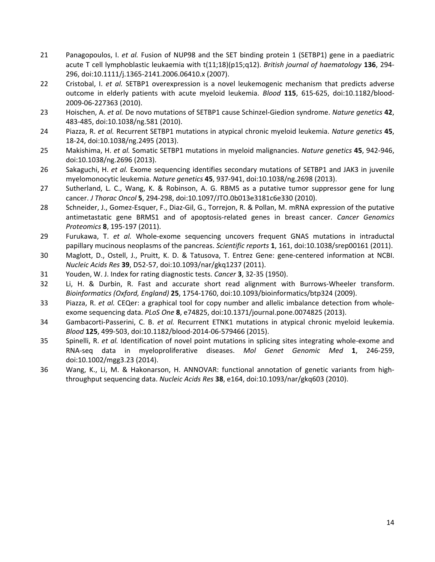- 21 Panagopoulos, I. *et al.* Fusion of NUP98 and the SET binding protein 1 (SETBP1) gene in a paediatric acute T cell lymphoblastic leukaemia with t(11;18)(p15;q12). *British journal of haematology* **136**, 294- 296, doi:10.1111/j.1365-2141.2006.06410.x (2007).
- 22 Cristobal, I. *et al.* SETBP1 overexpression is a novel leukemogenic mechanism that predicts adverse outcome in elderly patients with acute myeloid leukemia. *Blood* **115**, 615-625, doi:10.1182/blood-2009-06-227363 (2010).
- 23 Hoischen, A. *et al.* De novo mutations of SETBP1 cause Schinzel-Giedion syndrome. *Nature genetics* **42**, 483-485, doi:10.1038/ng.581 (2010).
- 24 Piazza, R. *et al.* Recurrent SETBP1 mutations in atypical chronic myeloid leukemia. *Nature genetics* **45**, 18-24, doi:10.1038/ng.2495 (2013).
- 25 Makishima, H. *et al.* Somatic SETBP1 mutations in myeloid malignancies. *Nature genetics* **45**, 942-946, doi:10.1038/ng.2696 (2013).
- 26 Sakaguchi, H. *et al.* Exome sequencing identifies secondary mutations of SETBP1 and JAK3 in juvenile myelomonocytic leukemia. *Nature genetics* **45**, 937-941, doi:10.1038/ng.2698 (2013).
- 27 Sutherland, L. C., Wang, K. & Robinson, A. G. RBM5 as a putative tumor suppressor gene for lung cancer. *J Thorac Oncol* **5**, 294-298, doi:10.1097/JTO.0b013e3181c6e330 (2010).
- 28 Schneider, J., Gomez-Esquer, F., Diaz-Gil, G., Torrejon, R. & Pollan, M. mRNA expression of the putative antimetastatic gene BRMS1 and of apoptosis-related genes in breast cancer. *Cancer Genomics Proteomics* **8**, 195-197 (2011).
- 29 Furukawa, T. *et al.* Whole-exome sequencing uncovers frequent GNAS mutations in intraductal papillary mucinous neoplasms of the pancreas. *Scientific reports* 1, 161, doi:10.1038/srep00161 (2011).
- 30 Maglott, D., Ostell, J., Pruitt, K. D. & Tatusova, T. Entrez Gene: gene-centered information at NCBI. *Nucleic Acids Res* **39**, D52-57, doi:10.1093/nar/gkq1237 (2011).
- 31 Youden, W. J. Index for rating diagnostic tests. *Cancer* **3**, 32-35 (1950).
- 32 Li, H. & Durbin, R. Fast and accurate short read alignment with Burrows-Wheeler transform. *Bioinformatics (Oxford, England)* **25**, 1754-1760, doi:10.1093/bioinformatics/btp324 (2009).
- 33 Piazza, R. *et al.* CEQer: a graphical tool for copy number and allelic imbalance detection from wholeexome sequencing data. *PLoS One* **8**, e74825, doi:10.1371/journal.pone.0074825 (2013).
- 34 Gambacorti-Passerini, C. B. *et al.* Recurrent ETNK1 mutations in atypical chronic myeloid leukemia. *Blood* **125**, 499-503, doi:10.1182/blood-2014-06-579466 (2015).
- 35 Spinelli, R. *et al.* Identification of novel point mutations in splicing sites integrating whole-exome and RNA-seq data in myeloproliferative diseases. *Mol Genet Genomic Med* **1**, 246-259, doi:10.1002/mgg3.23 (2014).
- 36 Wang, K., Li, M. & Hakonarson, H. ANNOVAR: functional annotation of genetic variants from highthroughput sequencing data. *Nucleic Acids Res* **38**, e164, doi:10.1093/nar/gkq603 (2010).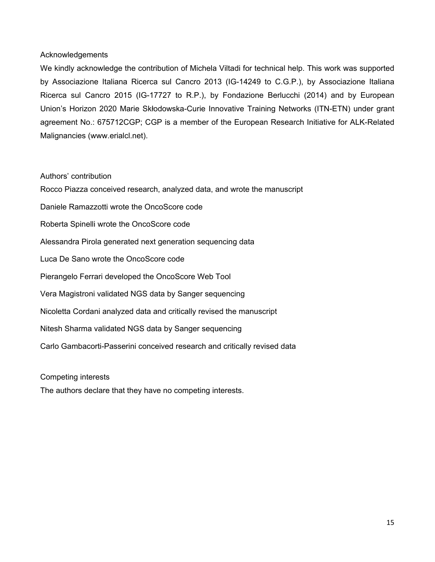# Acknowledgements

We kindly acknowledge the contribution of Michela Viltadi for technical help. This work was supported by Associazione Italiana Ricerca sul Cancro 2013 (IG-14249 to C.G.P.), by Associazione Italiana Ricerca sul Cancro 2015 (IG-17727 to R.P.), by Fondazione Berlucchi (2014) and by European Union's Horizon 2020 Marie Skłodowska-Curie Innovative Training Networks (ITN-ETN) under grant agreement No.: 675712CGP; CGP is a member of the European Research Initiative for ALK-Related Malignancies (www.erialcl.net).

### Authors' contribution

Rocco Piazza conceived research, analyzed data, and wrote the manuscript Daniele Ramazzotti wrote the OncoScore code Roberta Spinelli wrote the OncoScore code Alessandra Pirola generated next generation sequencing data Luca De Sano wrote the OncoScore code Pierangelo Ferrari developed the OncoScore Web Tool Vera Magistroni validated NGS data by Sanger sequencing Nicoletta Cordani analyzed data and critically revised the manuscript Nitesh Sharma validated NGS data by Sanger sequencing Carlo Gambacorti-Passerini conceived research and critically revised data

Competing interests

The authors declare that they have no competing interests.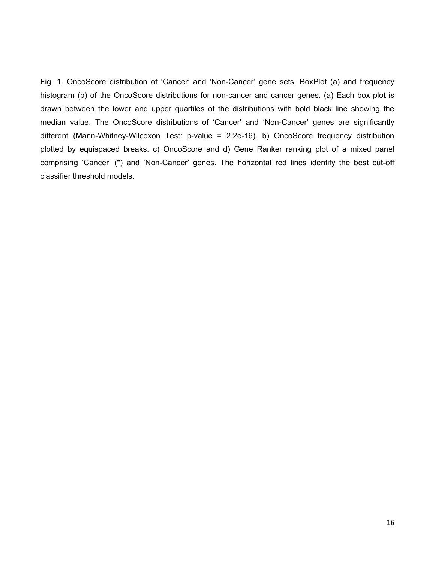Fig. 1. OncoScore distribution of 'Cancer' and 'Non-Cancer' gene sets. BoxPlot (a) and frequency histogram (b) of the OncoScore distributions for non-cancer and cancer genes. (a) Each box plot is drawn between the lower and upper quartiles of the distributions with bold black line showing the median value. The OncoScore distributions of 'Cancer' and 'Non-Cancer' genes are significantly different (Mann-Whitney-Wilcoxon Test: p-value = 2.2e-16). b) OncoScore frequency distribution plotted by equispaced breaks. c) OncoScore and d) Gene Ranker ranking plot of a mixed panel comprising 'Cancer' (\*) and 'Non-Cancer' genes. The horizontal red lines identify the best cut-off classifier threshold models.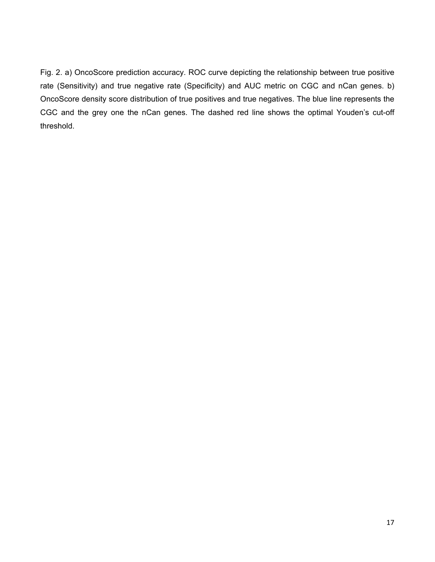Fig. 2. a) OncoScore prediction accuracy. ROC curve depicting the relationship between true positive rate (Sensitivity) and true negative rate (Specificity) and AUC metric on CGC and nCan genes. b) OncoScore density score distribution of true positives and true negatives. The blue line represents the CGC and the grey one the nCan genes. The dashed red line shows the optimal Youden's cut-off threshold.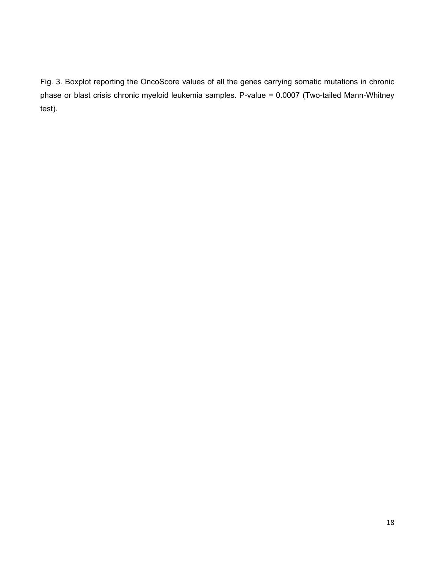Fig. 3. Boxplot reporting the OncoScore values of all the genes carrying somatic mutations in chronic phase or blast crisis chronic myeloid leukemia samples. P-value = 0.0007 (Two-tailed Mann-Whitney test).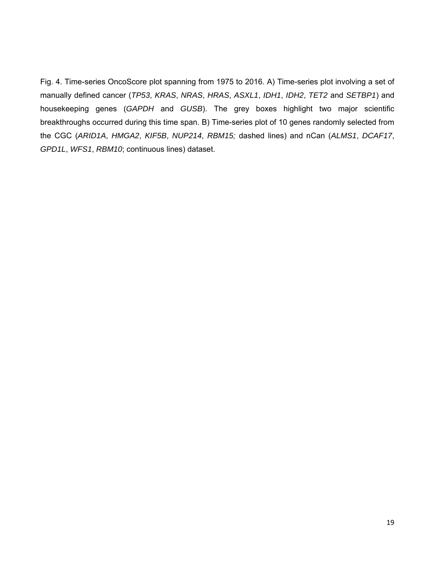Fig. 4. Time-series OncoScore plot spanning from 1975 to 2016. A) Time-series plot involving a set of manually defined cancer (*TP53*, *KRAS*, *NRAS*, *HRAS*, *ASXL1*, *IDH1*, *IDH2*, *TET2* and *SETBP1*) and housekeeping genes (*GAPDH* and *GUSB*). The grey boxes highlight two major scientific breakthroughs occurred during this time span. B) Time-series plot of 10 genes randomly selected from the CGC (*ARID1A*, *HMGA2*, *KIF5B*, *NUP214*, *RBM15;* dashed lines) and nCan (*ALMS1*, *DCAF17*, *GPD1L*, *WFS1*, *RBM10*; continuous lines) dataset.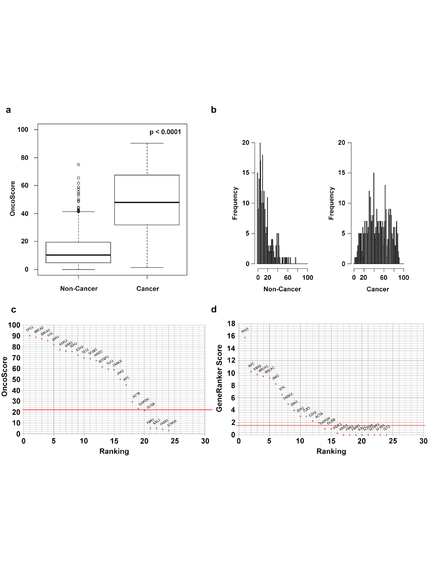

 $\mathbf b$ 

 $\mathbf a$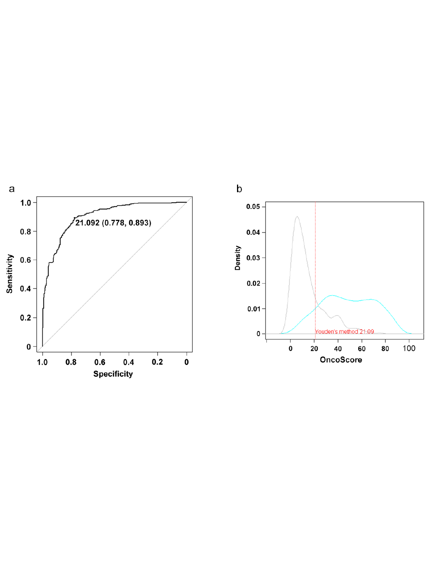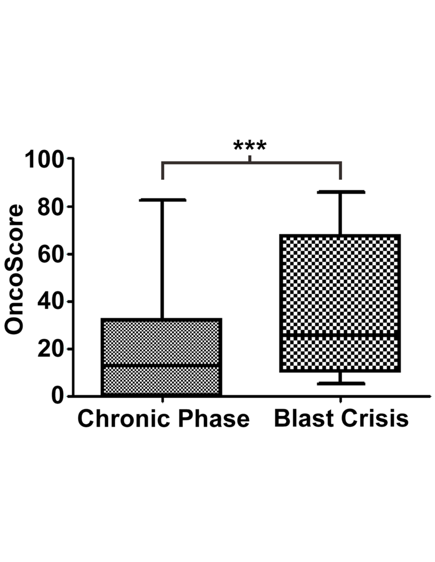